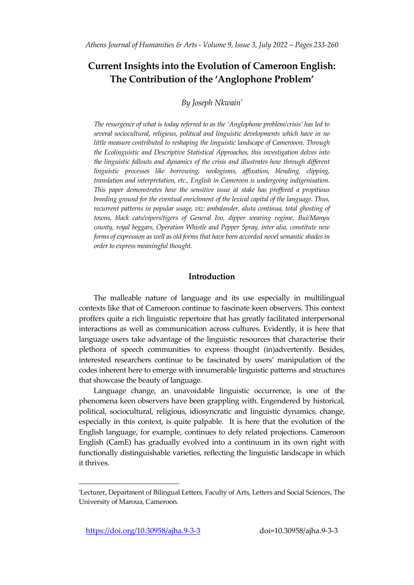# **Current Insights into the Evolution of Cameroon English: The Contribution of the 'Anglophone Problem'**

# *By Joseph Nkwain\**

*The resurgence of what is today referred to as the 'Anglophone problem/crisis' has led to several sociocultural, religious, political and linguistic developments which have in no little measure contributed to reshaping the linguistic landscape of Camerooon. Through the Ecolinguistic and Descriptive Statistical Approaches, this investigation delves into the linguistic fallouts and dynamics of the crisis and illustrates how through different linguistic processes like borrowing, neologisms, affixation, blending, clipping, translation and interpretation, etc., English in Cameroon is undergoing indigenisation. This paper demonstrates how the sensitive issue at stake has proffered a propitious breeding ground for the eventual enrichment of the lexical capital of the language. Thus, recurrent patterns in popular usage, viz: ambalander, aluta continua, total ghosting of towns, black cats/vipers/tigers of General Ivo, dipper wearing regime, Bui/Manyu county, royal beggars, Operation Whistle and Pepper Spray, inter alia, constitute new forms of expression as well as old forms that have been accorded novel semantic shades in order to express meaningful thought.* 

# **Introduction**

The malleable nature of language and its use especially in multilingual contexts like that of Cameroon continue to fascinate keen observers. This context proffers quite a rich linguistic repertoire that has greatly facilitated interpersonal interactions as well as communication across cultures. Evidently, it is here that language users take advantage of the linguistic resources that characterise their plethora of speech communities to express thought (in)advertently. Besides, interested researchers continue to be fascinated by users' manipulation of the codes inherent here to emerge with innumerable linguistic patterns and structures that showcase the beauty of language.

Language change, an unavoidable linguistic occurrence, is one of the phenomena keen observers have been grappling with. Engendered by historical, political, sociocultural, religious, idiosyncratic and linguistic dynamics, change, especially in this context, is quite palpable. It is here that the evolution of the English language, for example, continues to defy related projections. Cameroon English (CamE) has gradually evolved into a continuum in its own right with functionally distinguishable varieties, reflecting the linguistic landscape in which it thrives.

 $\overline{a}$ 

<sup>\*</sup>Lecturer, Department of Bilingual Letters, Faculty of Arts, Letters and Social Sciences, The University of Maroua, Cameroon.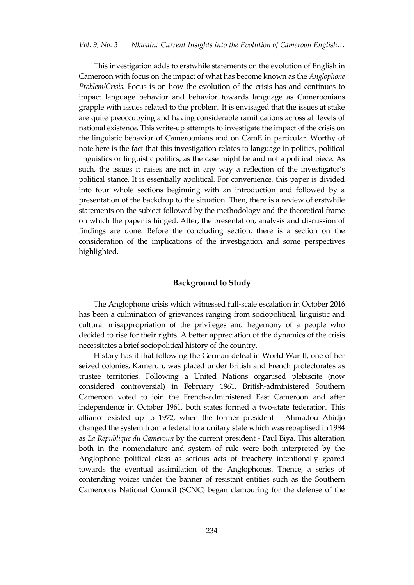This investigation adds to erstwhile statements on the evolution of English in Cameroon with focus on the impact of what has become known as the *Anglophone Problem/Crisis.* Focus is on how the evolution of the crisis has and continues to impact language behavior and behavior towards language as Cameroonians grapple with issues related to the problem. It is envisaged that the issues at stake are quite preoccupying and having considerable ramifications across all levels of national existence. This write-up attempts to investigate the impact of the crisis on the linguistic behavior of Cameroonians and on CamE in particular. Worthy of note here is the fact that this investigation relates to language in politics, political linguistics or linguistic politics, as the case might be and not a political piece. As such, the issues it raises are not in any way a reflection of the investigator's political stance. It is essentially apolitical. For convenience, this paper is divided into four whole sections beginning with an introduction and followed by a presentation of the backdrop to the situation. Then, there is a review of erstwhile statements on the subject followed by the methodology and the theoretical frame on which the paper is hinged. After, the presentation, analysis and discussion of findings are done. Before the concluding section, there is a section on the consideration of the implications of the investigation and some perspectives highlighted.

#### **Background to Study**

The Anglophone crisis which witnessed full-scale escalation in October 2016 has been a culmination of grievances ranging from sociopolitical, linguistic and cultural misappropriation of the privileges and hegemony of a people who decided to rise for their rights. A better appreciation of the dynamics of the crisis necessitates a brief sociopolitical history of the country.

History has it that following the German defeat in World War II, one of her seized colonies, Kamerun, was placed under British and French protectorates as trustee territories. Following a United Nations organised plebiscite (now considered controversial) in February 1961, British-administered Southern Cameroon voted to join the French-administered East Cameroon and after independence in October 1961, both states formed a two-state federation. This alliance existed up to 1972, when the former president - Ahmadou Ahidjo changed the system from a federal to a unitary state which was rebaptised in 1984 as *La République du Cameroun* by the current president - Paul Biya. This alteration both in the nomenclature and system of rule were both interpreted by the Anglophone political class as serious acts of treachery intentionally geared towards the eventual assimilation of the Anglophones. Thence, a series of contending voices under the banner of resistant entities such as the Southern Cameroons National Council (SCNC) began clamouring for the defense of the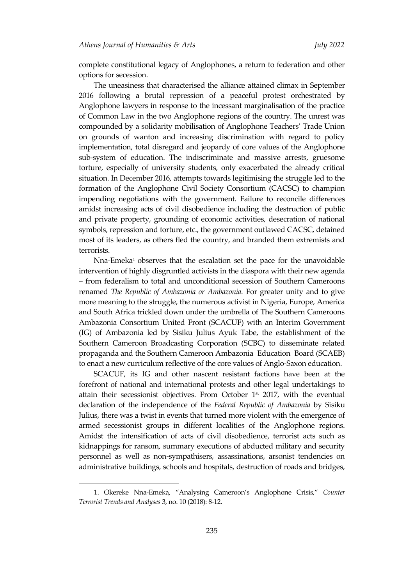complete constitutional legacy of Anglophones, a return to federation and other options for secession.

The uneasiness that characterised the alliance attained climax in September 2016 following a brutal repression of a peaceful protest orchestrated by Anglophone lawyers in response to the incessant marginalisation of the practice of Common Law in the two Anglophone regions of the country. The unrest was compounded by a solidarity mobilisation of Anglophone Teachers' Trade Union on grounds of wanton and increasing discrimination with regard to policy implementation, total disregard and jeopardy of core values of the Anglophone sub-system of education. The indiscriminate and massive arrests, gruesome torture, especially of university students, only exacerbated the already critical situation. In December 2016, attempts towards legitimising the struggle led to the formation of the Anglophone Civil Society Consortium (CACSC) to champion impending negotiations with the government. Failure to reconcile differences amidst increasing acts of civil disobedience including the destruction of public and private property, grounding of economic activities, desecration of national symbols, repression and torture, etc., the government outlawed CACSC, detained most of its leaders, as others fled the country, and branded them extremists and terrorists.

Nna-Emeka<sup>1</sup> observes that the escalation set the pace for the unavoidable intervention of highly disgruntled activists in the diaspora with their new agenda – from federalism to total and unconditional secession of Southern Cameroons renamed *The Republic of Ambazonia or Ambazonia.* For greater unity and to give more meaning to the struggle, the numerous activist in Nigeria, Europe, America and South Africa trickled down under the umbrella of The Southern Cameroons Ambazonia Consortium United Front (SCACUF) with an Interim Government (IG) of Ambazonia led by Sisiku Julius Ayuk Tabe, the establishment of the Southern Cameroon Broadcasting Corporation (SCBC) to disseminate related propaganda and the Southern Cameroon Ambazonia Education Board (SCAEB) to enact a new curriculum reflective of the core values of Anglo-Saxon education.

SCACUF, its IG and other nascent resistant factions have been at the forefront of national and international protests and other legal undertakings to attain their secessionist objectives. From October  $1<sup>st</sup>$  2017, with the eventual declaration of the independence of the *Federal Republic of Ambazonia* by Sisiku Julius, there was a twist in events that turned more violent with the emergence of armed secessionist groups in different localities of the Anglophone regions. Amidst the intensification of acts of civil disobedience, terrorist acts such as kidnappings for ransom, summary executions of abducted military and security personnel as well as non-sympathisers, assassinations, arsonist tendencies on administrative buildings, schools and hospitals, destruction of roads and bridges,

 $\overline{a}$ 

<sup>1.</sup> Okereke Nna-Emeka, 'Analysing Cameroon's Anglophone Crisis,' *Counter Terrorist Trends and Analyses* 3, no. 10 (2018): 8-12.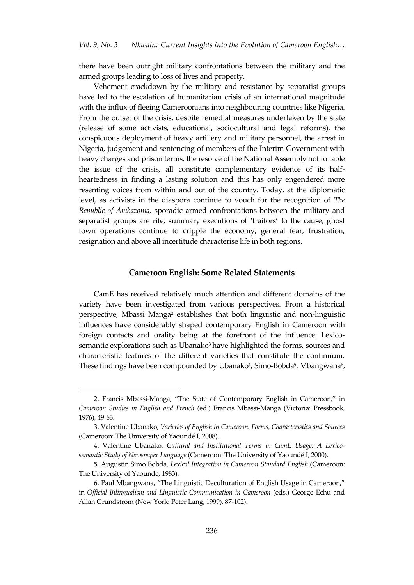there have been outright military confrontations between the military and the armed groups leading to loss of lives and property.

Vehement crackdown by the military and resistance by separatist groups have led to the escalation of humanitarian crisis of an international magnitude with the influx of fleeing Cameroonians into neighbouring countries like Nigeria. From the outset of the crisis, despite remedial measures undertaken by the state (release of some activists, educational, sociocultural and legal reforms), the conspicuous deployment of heavy artillery and military personnel, the arrest in Nigeria, judgement and sentencing of members of the Interim Government with heavy charges and prison terms, the resolve of the National Assembly not to table the issue of the crisis, all constitute complementary evidence of its halfheartedness in finding a lasting solution and this has only engendered more resenting voices from within and out of the country. Today, at the diplomatic level, as activists in the diaspora continue to vouch for the recognition of *The Republic of Ambazonia,* sporadic armed confrontations between the military and separatist groups are rife, summary executions of 'traitors' to the cause, ghost town operations continue to cripple the economy, general fear, frustration, resignation and above all incertitude characterise life in both regions.

#### **Cameroon English: Some Related Statements**

CamE has received relatively much attention and different domains of the variety have been investigated from various perspectives. From a historical perspective, Mbassi Manga<sup>2</sup> establishes that both linguistic and non-linguistic influences have considerably shaped contemporary English in Cameroon with foreign contacts and orality being at the forefront of the influence. Lexicosemantic explorations such as Ubanako<sup>3</sup> have highlighted the forms, sources and characteristic features of the different varieties that constitute the continuum. These findings have been compounded by Ubanako<sup>4</sup>, Simo-Bobda<sup>5</sup>, Mbangwana<sup>6</sup>,

 $\overline{a}$ 

<sup>2.</sup> Francis Mbassi-Manga, 'The State of Contemporary English in Cameroon,' in *Cameroon Studies in English and French (*ed.) Francis Mbassi-Manga (Victoria: Pressbook, 1976), 49-63.

<sup>3.</sup> Valentine Ubanako, *Varieties of English in Cameroon: Forms, Characteristics and Sources*  (Cameroon: The University of Yaoundé I, 2008).

<sup>4.</sup> Valentine Ubanako, *Cultural and Institutional Terms in CamE Usage: A Lexicosemantic Study of Newspaper Language* (Cameroon: The University of Yaoundé I, 2000).

<sup>5.</sup> Augustin Simo Bobda, *Lexical Integration in Cameroon Standard English* (Cameroon: The University of Yaounde, 1983).

<sup>6</sup>. Paul Mbangwana, 'The Linguistic Deculturation of English Usage in Cameroon,' in *Official Bilingualism and Linguistic Communication in Cameroon* (eds.) George Echu and Allan Grundstrom (New York: Peter Lang, 1999), 87-102).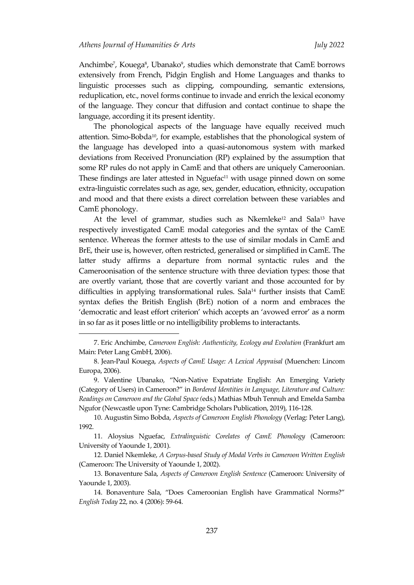$\overline{a}$ 

Anchimbe<sup>7</sup>, Kouega<sup>8</sup>, Ubanako<sup>9</sup>, studies which demonstrate that CamE borrows extensively from French, Pidgin English and Home Languages and thanks to linguistic processes such as clipping, compounding, semantic extensions, reduplication, etc., novel forms continue to invade and enrich the lexical economy of the language. They concur that diffusion and contact continue to shape the language, according it its present identity.

The phonological aspects of the language have equally received much attention. Simo-Bobda10, for example, establishes that the phonological system of the language has developed into a quasi-autonomous system with marked deviations from Received Pronunciation (RP) explained by the assumption that some RP rules do not apply in CamE and that others are uniquely Cameroonian. These findings are later attested in Nguefac<sup>11</sup> with usage pinned down on some extra-linguistic correlates such as age, sex, gender, education, ethnicity, occupation and mood and that there exists a direct correlation between these variables and CamE phonology.

At the level of grammar, studies such as Nkemleke<sup>12</sup> and Sala<sup>13</sup> have respectively investigated CamE modal categories and the syntax of the CamE sentence. Whereas the former attests to the use of similar modals in CamE and BrE, their use is, however, often restricted, generalised or simplified in CamE. The latter study affirms a departure from normal syntactic rules and the Cameroonisation of the sentence structure with three deviation types: those that are overtly variant, those that are covertly variant and those accounted for by difficulties in applying transformational rules. Sala<sup>14</sup> further insists that CamE syntax defies the British English (BrE) notion of a norm and embraces the 'democratic and least effort criterion' which accepts an 'avowed error' as a norm in so far as it poses little or no intelligibility problems to interactants.

<sup>7.</sup> Eric Anchimbe, *Cameroon English: Authenticity, Ecology and Evolution* (Frankfurt am Main: Peter Lang GmbH, 2006).

<sup>8.</sup> Jean-Paul Kouega, *Aspects of CamE Usage: A Lexical Appraisal* (Muenchen: Lincom Europa, 2006).

<sup>9</sup>. Valentine Ubanako, 'Non-Native Expatriate English: An Emerging Variety (Category of Users) in Cameroon?' in *Bordered Identities in Language, Literature and Culture: Readings on Cameroon and the Global Space (*eds.) Mathias Mbuh Tennuh and Emelda Samba Ngufor (Newcastle upon Tyne: Cambridge Scholars Publication, 2019), 116-128.

<sup>10.</sup> Augustin Simo Bobda, *Aspects of Cameroon English Phonology* (Verlag: Peter Lang), 1992.

<sup>11.</sup> Aloysius Nguefac, *Extralinguistic Corelates of CamE Phonology* (Cameroon: University of Yaounde 1, 2001).

<sup>12.</sup> Daniel Nkemleke, *A Corpus-based Study of Modal Verbs in Cameroon Written English* (Cameroon: The University of Yaounde 1, 2002).

<sup>13.</sup> Bonaventure Sala, *Aspects of Cameroon English Sentence* (Cameroon: University of Yaounde 1, 2003).

<sup>14</sup>. Bonaventure Sala, 'Does Cameroonian English have Grammatical Norms?' *English Today* 22, no. 4 (2006): 59-64.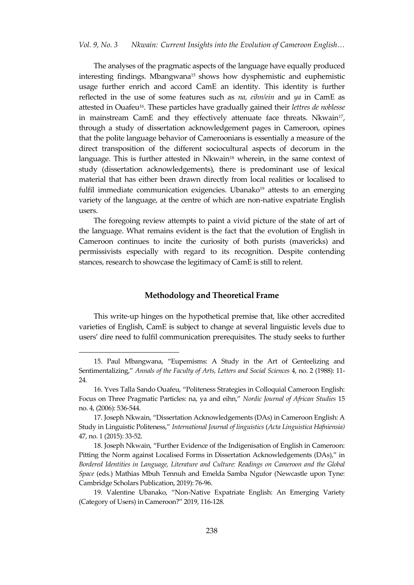The analyses of the pragmatic aspects of the language have equally produced interesting findings. Mbangwana<sup>15</sup> shows how dysphemistic and euphemistic usage further enrich and accord CamE an identity. This identity is further reflected in the use of some features such as *na, eihn/ein* and *ya* in CamE as attested in Ouafeu16. These particles have gradually gained their *lettres de noblesse* in mainstream CamE and they effectively attenuate face threats. Nkwain<sup>17</sup>, through a study of dissertation acknowledgement pages in Cameroon, opines that the polite language behavior of Cameroonians is essentially a measure of the direct transposition of the different sociocultural aspects of decorum in the language. This is further attested in Nkwain<sup>18</sup> wherein, in the same context of study (dissertation acknowledgements), there is predominant use of lexical material that has either been drawn directly from local realities or localised to fulfil immediate communication exigencies. Ubanako<sup>19</sup> attests to an emerging variety of the language, at the centre of which are non-native expatriate English users.

The foregoing review attempts to paint a vivid picture of the state of art of the language. What remains evident is the fact that the evolution of English in Cameroon continues to incite the curiosity of both purists (mavericks) and permissivists especially with regard to its recognition. Despite contending stances, research to showcase the legitimacy of CamE is still to relent.

#### **Methodology and Theoretical Frame**

This write-up hinges on the hypothetical premise that, like other accredited varieties of English, CamE is subject to change at several linguistic levels due to users' dire need to fulfil communication prerequisites. The study seeks to further

 $\overline{a}$ 

<sup>15</sup>. Paul Mbangwana, 'Eupemisms: A Study in the Art of Genteelizing and Sentimentalizing,' *Annals of the Faculty of Arts, Letters and Social Sciences* 4, no. 2 (1988): 11- 24*.*

<sup>16</sup>. Yves Talla Sando Ouafeu, 'Politeness Strategies in Colloquial Cameroon English: Focus on Three Pragmatic Particles: na, ya and eihn,' *Nordic Journal of African Studies* 15 no. 4, (2006): 536-544.

<sup>17</sup>. Joseph Nkwain, 'Dissertation Acknowledgements (DAs) in Cameroon English: A Study in Linguistic Politeness,' *International Journal of linguistics* (*Acta Linguistica Hafniensia)* 47, no. 1 (2015): 33-52.

<sup>18</sup>. Joseph Nkwain, 'Further Evidence of the Indigenisation of English in Cameroon: Pitting the Norm against Localised Forms in Dissertation Acknowledgements (DAs),' in *Bordered Identities in Language, Literature and Culture: Readings on Cameroon and the Global Space* (eds.) Mathias Mbuh Tennuh and Emelda Samba Ngufor (Newcastle upon Tyne: Cambridge Scholars Publication, 2019): 76-96.

<sup>19</sup>. Valentine Ubanako, 'Non-Native Expatriate English: An Emerging Variety (Category of Users) in Cameroon?' 2019, 116-128.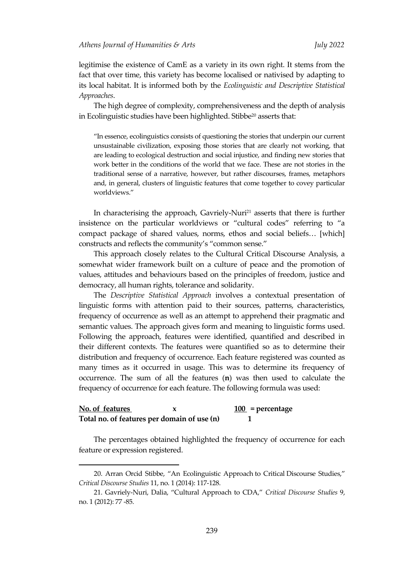legitimise the existence of CamE as a variety in its own right. It stems from the fact that over time, this variety has become localised or nativised by adapting to its local habitat. It is informed both by the *Ecolinguistic and Descriptive Statistical Approaches*.

The high degree of complexity, comprehensiveness and the depth of analysis in Ecolinguistic studies have been highlighted. Stibbe<sup>20</sup> asserts that:

'In essence, ecolinguistics consists of questioning the stories that underpin our current unsustainable civilization, exposing those stories that are clearly not working, that are leading to ecological destruction and social injustice, and finding new stories that work better in the conditions of the world that we face. These are not stories in the traditional sense of a narrative, however, but rather discourses, frames, metaphors and, in general, clusters of linguistic features that come together to covey particular worldviews.'

In characterising the approach, Gavriely-Nuri<sup>21</sup> asserts that there is further insistence on the particular worldviews or 'cultural codes' referring to 'a compact package of shared values, norms, ethos and social beliefs... [which] constructs and reflects the community's 'common sense.'

This approach closely relates to the Cultural Critical Discourse Analysis, a somewhat wider framework built on a culture of peace and the promotion of values, attitudes and behaviours based on the principles of freedom, justice and democracy, all human rights, tolerance and solidarity.

The *Descriptive Statistical Approach* involves a contextual presentation of linguistic forms with attention paid to their sources, patterns, characteristics, frequency of occurrence as well as an attempt to apprehend their pragmatic and semantic values. The approach gives form and meaning to linguistic forms used. Following the approach, features were identified, quantified and described in their different contexts. The features were quantified so as to determine their distribution and frequency of occurrence. Each feature registered was counted as many times as it occurred in usage. This was to determine its frequency of occurrence. The sum of all the features (**n**) was then used to calculate the frequency of occurrence for each feature. The following formula was used:

| No. of features |                                             | $\underline{100}$ = percentage |
|-----------------|---------------------------------------------|--------------------------------|
|                 | Total no. of features per domain of use (n) |                                |

 $\overline{a}$ 

The percentages obtained highlighted the frequency of occurrence for each feature or expression registered.

<sup>20.</sup> Arran Orcid Stibbe, 'An Ecolinguistic Approach to Critical Discourse Studies,' *Critical Discourse Studies* 11, no. 1 (2014): 117-128.

<sup>21.</sup> Gavriely-Nuri, Dalia, 'Cultural Approach to CDA,' *Critical Discourse Studies* 9, no. 1 (2012): 77 -85.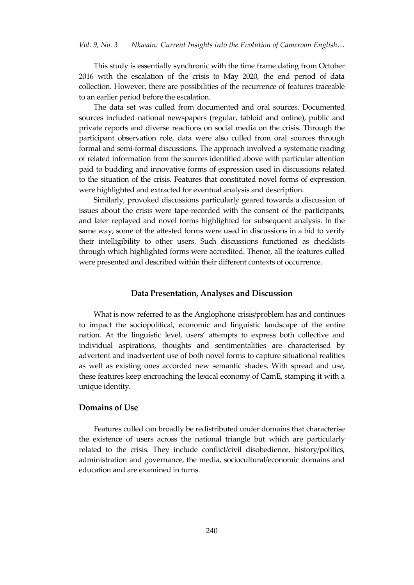This study is essentially synchronic with the time frame dating from October 2016 with the escalation of the crisis to May 2020, the end period of data collection. However, there are possibilities of the recurrence of features traceable to an earlier period before the escalation.

The data set was culled from documented and oral sources. Documented sources included national newspapers (regular, tabloid and online), public and private reports and diverse reactions on social media on the crisis. Through the participant observation role, data were also culled from oral sources through formal and semi-formal discussions. The approach involved a systematic reading of related information from the sources identified above with particular attention paid to budding and innovative forms of expression used in discussions related to the situation of the crisis. Features that constituted novel forms of expression were highlighted and extracted for eventual analysis and description.

Similarly, provoked discussions particularly geared towards a discussion of issues about the crisis were tape-recorded with the consent of the participants, and later replayed and novel forms highlighted for subsequent analysis. In the same way, some of the attested forms were used in discussions in a bid to verify their intelligibility to other users. Such discussions functioned as checklists through which highlighted forms were accredited. Thence, all the features culled were presented and described within their different contexts of occurrence.

# **Data Presentation, Analyses and Discussion**

What is now referred to as the Anglophone crisis/problem has and continues to impact the sociopolitical, economic and linguistic landscape of the entire nation. At the linguistic level, users' attempts to express both collective and individual aspirations, thoughts and sentimentalities are characterised by advertent and inadvertent use of both novel forms to capture situational realities as well as existing ones accorded new semantic shades. With spread and use, these features keep encroaching the lexical economy of CamE, stamping it with a unique identity.

# **Domains of Use**

Features culled can broadly be redistributed under domains that characterise the existence of users across the national triangle but which are particularly related to the crisis. They include conflict/civil disobedience, history/politics, administration and governance, the media, sociocultural/economic domains and education and are examined in turns.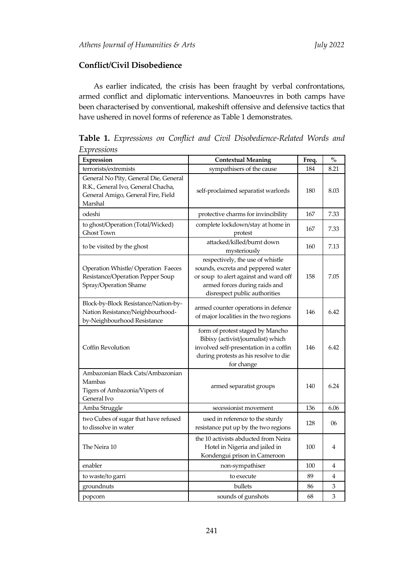# **Conflict/Civil Disobedience**

As earlier indicated, the crisis has been fraught by verbal confrontations, armed conflict and diplomatic interventions. Manoeuvres in both camps have been characterised by conventional, makeshift offensive and defensive tactics that have ushered in novel forms of reference as Table 1 demonstrates.

**Table 1.** *Expressions on Conflict and Civil Disobedience-Related Words and Expressions*

| Expression                                                                                                                   | <b>Contextual Meaning</b>                                                                                                                                                         | Freq. | $\mathbf{O}_{\mathbf{O}}^{\prime}$ |
|------------------------------------------------------------------------------------------------------------------------------|-----------------------------------------------------------------------------------------------------------------------------------------------------------------------------------|-------|------------------------------------|
| terrorists/extremists                                                                                                        | sympathisers of the cause                                                                                                                                                         | 184   | 8.21                               |
| General No Pity, General Die, General<br>R.K., General Ivo, General Chacha,<br>General Amigo, General Fire, Field<br>Marshal | self-proclaimed separatist warlords                                                                                                                                               | 180   | 8.03                               |
| odeshi                                                                                                                       | protective charms for invincibility                                                                                                                                               | 167   | 7.33                               |
| to ghost/Operation (Total/Wicked)<br><b>Ghost Town</b>                                                                       | complete lockdown/stay at home in<br>protest                                                                                                                                      | 167   | 7.33                               |
| to be visited by the ghost                                                                                                   | attacked/killed/burnt down<br>mysteriously                                                                                                                                        | 160   | 7.13                               |
| <b>Operation Whistle/ Operation Faeces</b><br>Resistance/Operation Pepper Soup<br>Spray/Operation Shame                      | respectively, the use of whistle<br>sounds, excreta and peppered water<br>or soup to alert against and ward off<br>armed forces during raids and<br>disrespect public authorities | 158   | 7.05                               |
| Block-by-Block Resistance/Nation-by-<br>Nation Resistance/Neighbourhood-<br>by-Neighbourhood Resistance                      | armed counter operations in defence<br>of major localities in the two regions                                                                                                     | 146   | 6.42                               |
| Coffin Revolution                                                                                                            | form of protest staged by Mancho<br>Bibixy (activist/journalist) which<br>involved self-presentation in a coffin<br>during protests as his resolve to die<br>for change           |       | 6.42                               |
| Ambazonian Black Cats/Ambazonian<br>Mambas<br>Tigers of Ambazonia/Vipers of<br>General Ivo                                   | armed separatist groups                                                                                                                                                           | 140   | 6.24                               |
| Amba Struggle                                                                                                                | secessionist movement                                                                                                                                                             | 136   | 6.06                               |
| two Cubes of sugar that have refused<br>to dissolve in water                                                                 | used in reference to the sturdy<br>resistance put up by the two regions                                                                                                           | 128   | 06                                 |
| The Neira 10                                                                                                                 | the 10 activists abducted from Neira<br>Hotel in Nigeria and jailed in<br>Kondengui prison in Cameroon                                                                            | 100   | 4                                  |
| enabler                                                                                                                      | non-sympathiser                                                                                                                                                                   | 100   | 4                                  |
| to waste/to garri                                                                                                            | to execute                                                                                                                                                                        | 89    | 4                                  |
| groundnuts                                                                                                                   | bullets                                                                                                                                                                           | 86    | 3                                  |
| popcorn                                                                                                                      | sounds of gunshots                                                                                                                                                                | 68    | 3                                  |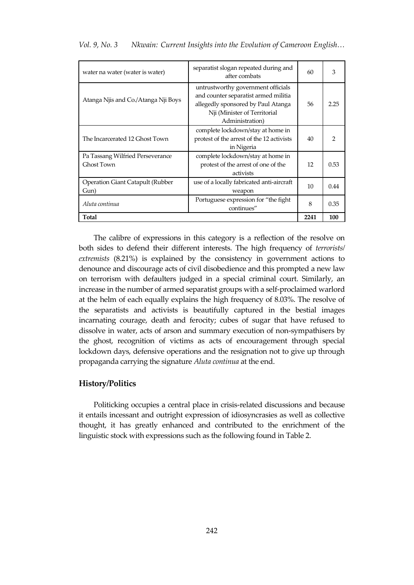| water na water (water is water)                | separatist slogan repeated during and<br>after combats                                                                                                              | 60   | 3    |
|------------------------------------------------|---------------------------------------------------------------------------------------------------------------------------------------------------------------------|------|------|
| Atanga Njis and Co./Atanga Nji Boys            | untrustworthy government officials<br>and counter separatist armed militia<br>allegedly sponsored by Paul Atanga<br>Nji (Minister of Territorial<br>Administration) | 56   | 2.25 |
| The Incarcerated 12 Ghost Town                 | complete lockdown/stay at home in<br>protest of the arrest of the 12 activists<br>in Nigeria                                                                        | 40   | っ    |
| Pa Tassang Wilfried Perseverance<br>Ghost Town | complete lockdown/stay at home in<br>protest of the arrest of one of the<br>activists                                                                               | 12   | 0.53 |
| Operation Giant Catapult (Rubber<br>Gun)       | use of a locally fabricated anti-aircraft<br>weapon                                                                                                                 | 10   | 0.44 |
| Aluta continua                                 | Portuguese expression for "the fight"<br>continues"                                                                                                                 | 8    | 0.35 |
| Total                                          |                                                                                                                                                                     | 2241 | 100  |

*Vol. 9, No. 3 Nkwain: Current Insights into the Evolution of Cameroon English…*

The calibre of expressions in this category is a reflection of the resolve on both sides to defend their different interests. The high frequency of *terrorists/ extremists* (8.21%) is explained by the consistency in government actions to denounce and discourage acts of civil disobedience and this prompted a new law on terrorism with defaulters judged in a special criminal court. Similarly, an increase in the number of armed separatist groups with a self-proclaimed warlord at the helm of each equally explains the high frequency of 8.03%. The resolve of the separatists and activists is beautifully captured in the bestial images incarnating courage, death and ferocity; cubes of sugar that have refused to dissolve in water, acts of arson and summary execution of non-sympathisers by the ghost, recognition of victims as acts of encouragement through special lockdown days, defensive operations and the resignation not to give up through propaganda carrying the signature *Aluta continua* at the end.

#### **History/Politics**

Politicking occupies a central place in crisis-related discussions and because it entails incessant and outright expression of idiosyncrasies as well as collective thought, it has greatly enhanced and contributed to the enrichment of the linguistic stock with expressions such as the following found in Table 2.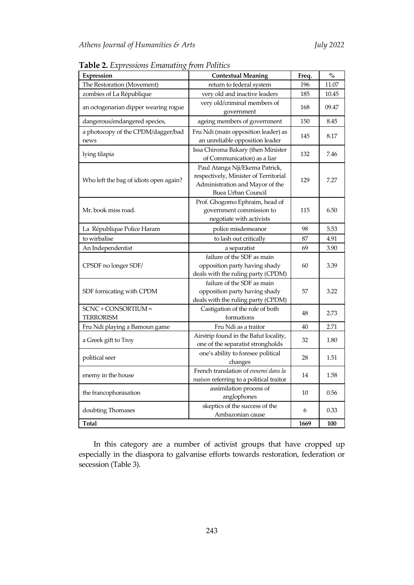| Expression                                                                                            | <b>Contextual Meaning</b>                                                                                                        | Freq. | $\%$  |
|-------------------------------------------------------------------------------------------------------|----------------------------------------------------------------------------------------------------------------------------------|-------|-------|
| The Restoration (Movement)                                                                            | return to federal system                                                                                                         |       | 11.07 |
| zombies of La République                                                                              | very old and inactive leaders                                                                                                    | 185   | 10.45 |
| an octogenarian dipper wearing rogue                                                                  | very old/criminal members of<br>government                                                                                       | 168   | 09.47 |
| dangerous/endangered species,                                                                         | ageing members of government                                                                                                     | 150   | 8.45  |
| a photocopy of the CPDM/dagger/bad<br>news                                                            | Fru Ndi (main opposition leader) as<br>an unreliable opposition leader                                                           | 145   | 8.17  |
| lying tilapia                                                                                         | Issa Chiroma Bakary (then Minister<br>of Communication) as a liar                                                                | 132   | 7.46  |
| Who left the bag of idiots open again?                                                                | Paul Atanga Nji/Ekema Patrick,<br>respectively, Minister of Territorial<br>Administration and Mayor of the<br>Buea Urban Council | 129   | 7.27  |
| Mr. book miss road.                                                                                   | Prof. Ghogomo Ephraim, head of<br>government commission to<br>negotiate with activists                                           | 115   | 6.50  |
| La République Police Haram                                                                            | police misdemeanor                                                                                                               | 98    | 5.53  |
| to wirbalise                                                                                          | to lash out critically                                                                                                           | 87    | 4.91  |
| An Independentist                                                                                     | a separatist                                                                                                                     | 69    | 3.90  |
| CPSDF no longer SDF/                                                                                  | failure of the SDF as main<br>opposition party having shady<br>deals with the ruling party (CPDM)                                | 60    | 3.39  |
| SDF fornicating with CPDM                                                                             | failure of the SDF as main<br>opposition party having shady<br>deals with the ruling party (CPDM)                                | 57    | 3.22  |
| SCNC + CONSORTIUM =<br>TERRORISM                                                                      | Castigation of the role of both<br>formations                                                                                    | 48    | 2.73  |
| Fru Ndi playing a Bamoun game                                                                         | Fru Ndi as a traitor                                                                                                             | 40    | 2.71  |
| a Greek gift to Troy                                                                                  | Airstrip found in the Bafut locality,<br>one of the separatist strongholds                                                       | 32    | 1.80  |
| political seer                                                                                        | one's ability to foresee political<br>changes                                                                                    | 28    | 1.51  |
| French translation of ennemi dans la<br>enemy in the house<br>maison referring to a political traitor |                                                                                                                                  | 14    | 1.58  |
| the francophonisation                                                                                 | assimilation process of<br>anglophones                                                                                           | 10    | 0.56  |
| doubting Thomases                                                                                     | skeptics of the success of the<br>Ambazonian cause                                                                               | 6     | 0.33  |
| Total                                                                                                 |                                                                                                                                  | 1669  | 100   |

**Table 2.** *Expressions Emanating from Politics* 

In this category are a number of activist groups that have cropped up especially in the diaspora to galvanise efforts towards restoration, federation or secession (Table 3).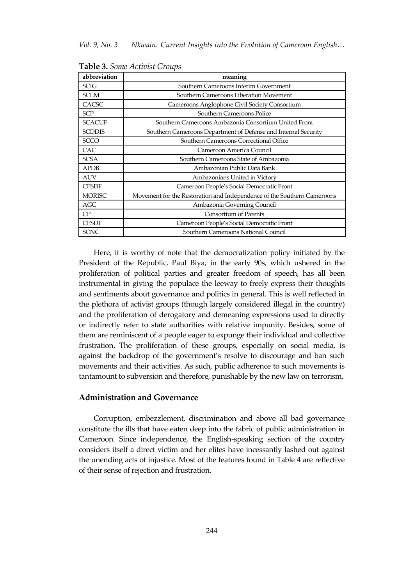| abbreviation  | meaning                                                                 |
|---------------|-------------------------------------------------------------------------|
| <b>SCIG</b>   | Southern Cameroons Interim Government                                   |
| <b>SCLM</b>   | Southern Cameroons Liberation Movement                                  |
| CACSC         | Cameroons Anglophone Civil Society Consortium                           |
| <b>SCP</b>    | Southern Cameroons Police                                               |
| <b>SCACUF</b> | Southern Cameroons Ambazonia Consortium United Front                    |
| <b>SCDDIS</b> | Southern Cameroons Department of Defense and Internal Security          |
| <b>SCCO</b>   | Southern Cameroons Correctional Office                                  |
| CAC           | Cameroon America Council                                                |
| <b>SCSA</b>   | Southern Cameroons State of Ambazonia                                   |
| <b>APDB</b>   | Ambazonian Public Data Bank                                             |
| <b>AUV</b>    | Ambazonians United in Victory                                           |
| <b>CPSDF</b>  | Cameroon People's Social Democratic Front                               |
| <b>MORISC</b> | Movement for the Restoration and Independence of the Southern Cameroons |
| AGC           | Ambazonia Governing Council                                             |
| CP            | <b>Consortium of Parents</b>                                            |
| <b>CPSDF</b>  | Cameroon People's Social Democratic Front                               |
| <b>SCNC</b>   | Southern Cameroons National Council                                     |

**Table 3.** *Some Activist Groups*

Here, it is worthy of note that the democratization policy initiated by the President of the Republic, Paul Biya, in the early 90s, which ushered in the proliferation of political parties and greater freedom of speech, has all been instrumental in giving the populace the leeway to freely express their thoughts and sentiments about governance and politics in general. This is well reflected in the plethora of activist groups (though largely considered illegal in the country) and the proliferation of derogatory and demeaning expressions used to directly or indirectly refer to state authorities with relative impunity. Besides, some of them are reminiscent of a people eager to expunge their individual and collective frustration. The proliferation of these groups, especially on social media, is against the backdrop of the government's resolve to discourage and ban such movements and their activities. As such, public adherence to such movements is tantamount to subversion and therefore, punishable by the new law on terrorism.

#### **Administration and Governance**

Corruption, embezzlement, discrimination and above all bad governance constitute the ills that have eaten deep into the fabric of public administration in Cameroon. Since independence, the English-speaking section of the country considers itself a direct victim and her elites have incessantly lashed out against the unending acts of injustice. Most of the features found in Table 4 are reflective of their sense of rejection and frustration.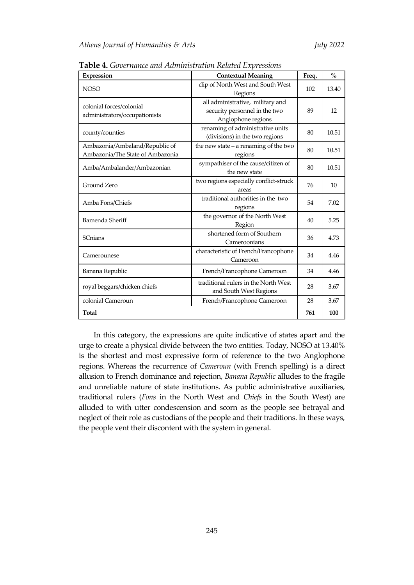| Expression                                                         | <b>Contextual Meaning</b>                                                               |     | $\frac{0}{0}$ |
|--------------------------------------------------------------------|-----------------------------------------------------------------------------------------|-----|---------------|
| <b>NOSO</b>                                                        | clip of North West and South West<br>Regions                                            | 102 | 13.40         |
| colonial forces/colonial<br>administrators/occupationists          | all administrative, military and<br>security personnel in the two<br>Anglophone regions | 89  | 12            |
| county/counties                                                    | renaming of administrative units<br>(divisions) in the two regions                      | 80  | 10.51         |
| Ambazonia/Ambaland/Republic of<br>Ambazonia/The State of Ambazonia | the new state $-$ a renaming of the two<br>regions                                      | 80  | 10.51         |
| Amba/Ambalander/Ambazonian                                         | sympathiser of the cause/citizen of<br>the new state                                    | 80  | 10.51         |
| Ground Zero                                                        | two regions especially conflict-struck<br>areas                                         |     | 10            |
| Amba Fons/Chiefs                                                   | traditional authorities in the two<br>regions                                           | 54  | 7.02          |
| Bamenda Sheriff                                                    | the governor of the North West<br>Region                                                | 40  | 5.25          |
| <b>SCnians</b>                                                     | shortened form of Southern<br>Cameroonians                                              | 36  | 4.73          |
| Camerounese                                                        | characteristic of French/Francophone<br>Cameroon                                        |     | 4.46          |
| Banana Republic<br>French/Francophone Cameroon                     |                                                                                         | 34  | 4.46          |
| royal beggars/chicken chiefs                                       | traditional rulers in the North West<br>and South West Regions                          |     | 3.67          |
| colonial Cameroun                                                  | French/Francophone Cameroon                                                             | 28  | 3.67          |
| Total                                                              |                                                                                         | 761 | 100           |

**Table 4.** *Governance and Administration Related Expressions*

In this category, the expressions are quite indicative of states apart and the urge to create a physical divide between the two entities. Today, NOSO at 13.40% is the shortest and most expressive form of reference to the two Anglophone regions. Whereas the recurrence of *Cameroun* (with French spelling) is a direct allusion to French dominance and rejection, *Banana Republic* alludes to the fragile and unreliable nature of state institutions. As public administrative auxiliaries, traditional rulers (*Fons* in the North West and *Chiefs* in the South West) are alluded to with utter condescension and scorn as the people see betrayal and neglect of their role as custodians of the people and their traditions. In these ways, the people vent their discontent with the system in general.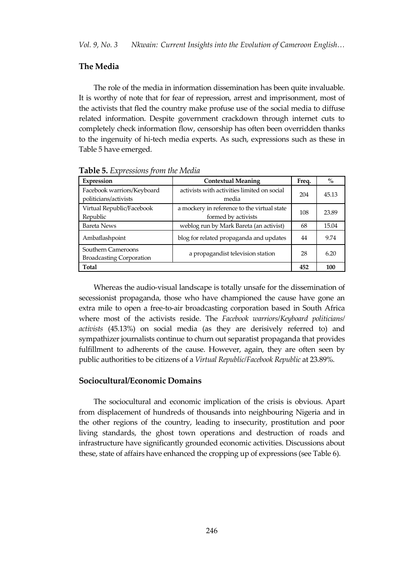# **The Media**

The role of the media in information dissemination has been quite invaluable. It is worthy of note that for fear of repression, arrest and imprisonment, most of the activists that fled the country make profuse use of the social media to diffuse related information. Despite government crackdown through internet cuts to completely check information flow, censorship has often been overridden thanks to the ingenuity of hi-tech media experts. As such, expressions such as these in Table 5 have emerged.

| Expression                                            | <b>Contextual Meaning</b>                                          |     | $\%$  |
|-------------------------------------------------------|--------------------------------------------------------------------|-----|-------|
| Facebook warriors/Keyboard<br>politicians/activists   | activists with activities limited on social<br>media               | 204 | 45.13 |
| Virtual Republic/Facebook<br>Republic                 | a mockery in reference to the virtual state<br>formed by activists | 108 | 23.89 |
| <b>Bareta News</b>                                    | weblog run by Mark Bareta (an activist)                            | 68  | 15.04 |
| Ambaflashpoint                                        | blog for related propaganda and updates                            | 44  | 9.74  |
| Southern Cameroons<br><b>Broadcasting Corporation</b> | a propagandist television station                                  | 28  | 6.20  |
| <b>Total</b>                                          |                                                                    | 452 | 100   |

**Table 5.** *Expressions from the Media*

Whereas the audio-visual landscape is totally unsafe for the dissemination of secessionist propaganda, those who have championed the cause have gone an extra mile to open a free-to-air broadcasting corporation based in South Africa where most of the activists reside. The *Facebook warriors/Keyboard politicians/ activists* (45.13%) on social media (as they are derisively referred to) and sympathizer journalists continue to churn out separatist propaganda that provides fulfillment to adherents of the cause. However, again, they are often seen by public authorities to be citizens of a *Virtual Republic/Facebook Republic* at 23.89%*.*

### **Sociocultural/Economic Domains**

The sociocultural and economic implication of the crisis is obvious. Apart from displacement of hundreds of thousands into neighbouring Nigeria and in the other regions of the country, leading to insecurity, prostitution and poor living standards, the ghost town operations and destruction of roads and infrastructure have significantly grounded economic activities. Discussions about these, state of affairs have enhanced the cropping up of expressions (see Table 6).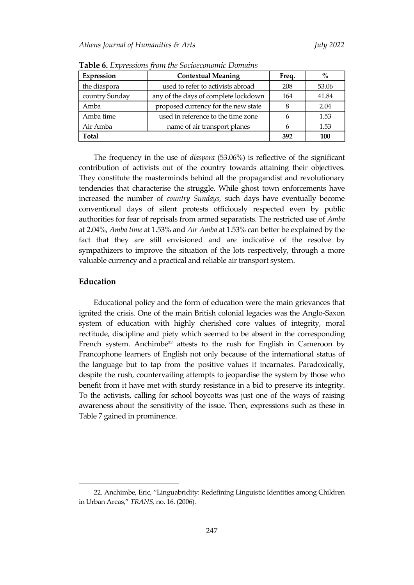| Expression     | <b>Contextual Meaning</b>                | Freq. | $\%$  |
|----------------|------------------------------------------|-------|-------|
| the diaspora   | used to refer to activists abroad        | 53.06 |       |
| country Sunday | any of the days of complete lockdown     | 164   | 41.84 |
| Amba           | proposed currency for the new state<br>8 |       | 2.04  |
| Amba time      | used in reference to the time zone       | 6     | 1.53  |
| Air Amba       | name of air transport planes             | 6     | 1.53  |
| Total          |                                          | 392   | 100   |

**Table 6.** *Expressions from the Socioeconomic Domains*

The frequency in the use of *diaspora* (53.06%) is reflective of the significant contribution of activists out of the country towards attaining their objectives. They constitute the masterminds behind all the propagandist and revolutionary tendencies that characterise the struggle. While ghost town enforcements have increased the number of *country Sundays,* such days have eventually become conventional days of silent protests officiously respected even by public authorities for fear of reprisals from armed separatists. The restricted use of *Amba* at 2.04%, *Amba time* at 1.53% and *Air Amba* at 1.53% can better be explained by the fact that they are still envisioned and are indicative of the resolve by sympathizers to improve the situation of the lots respectively, through a more valuable currency and a practical and reliable air transport system.

# **Education**

 $\overline{a}$ 

Educational policy and the form of education were the main grievances that ignited the crisis. One of the main British colonial legacies was the Anglo-Saxon system of education with highly cherished core values of integrity, moral rectitude, discipline and piety which seemed to be absent in the corresponding French system. Anchimbe<sup>22</sup> attests to the rush for English in Cameroon by Francophone learners of English not only because of the international status of the language but to tap from the positive values it incarnates. Paradoxically, despite the rush, countervailing attempts to jeopardise the system by those who benefit from it have met with sturdy resistance in a bid to preserve its integrity. To the activists, calling for school boycotts was just one of the ways of raising awareness about the sensitivity of the issue. Then, expressions such as these in Table 7 gained in prominence.

<sup>22</sup>. Anchimbe, Eric, 'Linguabridity: Redefining Linguistic Identities among Children in Urban Areas,' *TRANS,* no. 16. (2006).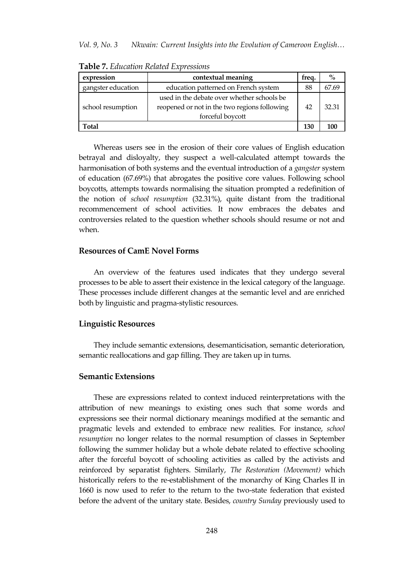| expression         | contextual meaning                                                                                             |     | $\%$  |
|--------------------|----------------------------------------------------------------------------------------------------------------|-----|-------|
| gangster education | education patterned on French system                                                                           | 88  | 67.69 |
| school resumption  | used in the debate over whether schools be<br>reopened or not in the two regions following<br>forceful boycott |     | 32.31 |
| Total              |                                                                                                                | 130 |       |

**Table 7.** *Education Related Expressions*

Whereas users see in the erosion of their core values of English education betrayal and disloyalty, they suspect a well-calculated attempt towards the harmonisation of both systems and the eventual introduction of a *gangster* system of education (67.69%) that abrogates the positive core values. Following school boycotts, attempts towards normalising the situation prompted a redefinition of the notion of *school resumption* (32.31%), quite distant from the traditional recommencement of school activities. It now embraces the debates and controversies related to the question whether schools should resume or not and when.

# **Resources of CamE Novel Forms**

An overview of the features used indicates that they undergo several processes to be able to assert their existence in the lexical category of the language. These processes include different changes at the semantic level and are enriched both by linguistic and pragma-stylistic resources.

#### **Linguistic Resources**

They include semantic extensions, desemanticisation, semantic deterioration, semantic reallocations and gap filling. They are taken up in turns.

# **Semantic Extensions**

These are expressions related to context induced reinterpretations with the attribution of new meanings to existing ones such that some words and expressions see their normal dictionary meanings modified at the semantic and pragmatic levels and extended to embrace new realities. For instance, *school resumption* no longer relates to the normal resumption of classes in September following the summer holiday but a whole debate related to effective schooling after the forceful boycott of schooling activities as called by the activists and reinforced by separatist fighters. Similarly, *The Restoration (Movement)* which historically refers to the re-establishment of the monarchy of King Charles II in 1660 is now used to refer to the return to the two-state federation that existed before the advent of the unitary state. Besides, *country Sunday* previously used to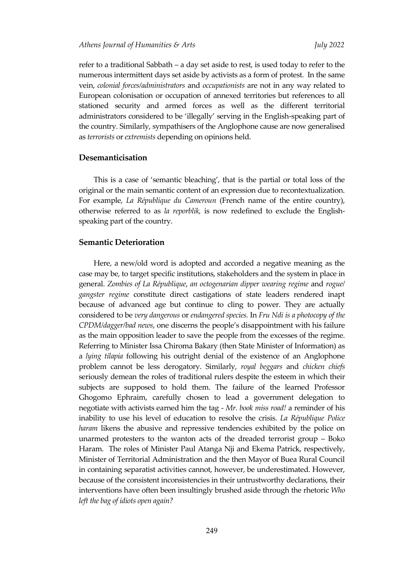refer to a traditional Sabbath – a day set aside to rest, is used today to refer to the numerous intermittent days set aside by activists as a form of protest. In the same vein, *colonial forces/administrators* and *occupationists* are not in any way related to European colonisation or occupation of annexed territories but references to all stationed security and armed forces as well as the different territorial administrators considered to be 'illegally' serving in the English-speaking part of the country. Similarly, sympathisers of the Anglophone cause are now generalised as *terrorists* or *extremists* depending on opinions held.

# **Desemanticisation**

This is a case of 'semantic bleaching', that is the partial or total loss of the original or the main semantic content of an expression due to recontextualization. For example, *La République du Cameroun* (French name of the entire country), otherwise referred to as *la reporblik,* is now redefined to exclude the Englishspeaking part of the country.

# **Semantic Deterioration**

Here, a new/old word is adopted and accorded a negative meaning as the case may be, to target specific institutions, stakeholders and the system in place in general. *Zombies of La République*, *an octogenarian dipper wearing regime* and *rogue/ gangster regime* constitute direct castigations of state leaders rendered inapt because of advanced age but continue to cling to power. They are actually considered to be *very dangerous* or *endangered species.* In *Fru Ndi is a photocopy of the CPDM/dagger/bad news*, one discerns the people's disappointment with his failure as the main opposition leader to save the people from the excesses of the regime. Referring to Minister Issa Chiroma Bakary (then State Minister of Information) as a *lying tilapia* following his outright denial of the existence of an Anglophone problem cannot be less derogatory. Similarly, *royal beggars* and *chicken chiefs* seriously demean the roles of traditional rulers despite the esteem in which their subjects are supposed to hold them. The failure of the learned Professor Ghogomo Ephraim, carefully chosen to lead a government delegation to negotiate with activists earned him the tag - *Mr. book miss road!* a reminder of his inability to use his level of education to resolve the crisis. *La République Police haram* likens the abusive and repressive tendencies exhibited by the police on unarmed protesters to the wanton acts of the dreaded terrorist group – Boko Haram. The roles of Minister Paul Atanga Nji and Ekema Patrick, respectively, Minister of Territorial Administration and the then Mayor of Buea Rural Council in containing separatist activities cannot, however, be underestimated. However, because of the consistent inconsistencies in their untrustworthy declarations, their interventions have often been insultingly brushed aside through the rhetoric *Who left the bag of idiots open again?*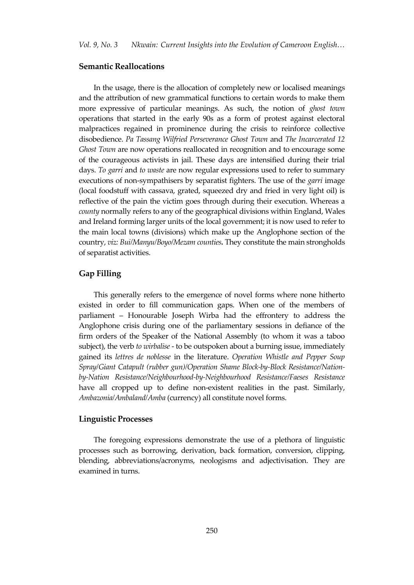# **Semantic Reallocations**

In the usage, there is the allocation of completely new or localised meanings and the attribution of new grammatical functions to certain words to make them more expressive of particular meanings. As such, the notion of *ghost town* operations that started in the early 90s as a form of protest against electoral malpractices regained in prominence during the crisis to reinforce collective disobedience. *Pa Tassang Wilfried Perseverance Ghost Town* and *The Incarcerated 12 Ghost Town* are now operations reallocated in recognition and to encourage some of the courageous activists in jail. These days are intensified during their trial days. *To garri* and *to waste* are now regular expressions used to refer to summary executions of non-sympathisers by separatist fighters. The use of the *garri* image (local foodstuff with cassava, grated, squeezed dry and fried in very light oil) is reflective of the pain the victim goes through during their execution. Whereas a *county* normally refers to any of the geographical divisions within England, Wales and Ireland forming larger units of the local government; it is now used to refer to the main local towns (divisions) which make up the Anglophone section of the country, *viz: Bui/Manyu/Boyo/Mezam counties.* They constitute the main strongholds of separatist activities.

### **Gap Filling**

This generally refers to the emergence of novel forms where none hitherto existed in order to fill communication gaps. When one of the members of parliament – Honourable Joseph Wirba had the effrontery to address the Anglophone crisis during one of the parliamentary sessions in defiance of the firm orders of the Speaker of the National Assembly (to whom it was a taboo subject), the verb *to wirbalise* - to be outspoken about a burning issue, immediately gained its *lettres de noblesse* in the literature. *Operation Whistle and Pepper Soup Spray/Giant Catapult (rubber gun)/Operation Shame Block-by-Block Resistance/Nationby-Nation Resistance/Neighbourhood-by-Neighbourhood Resistance/Faeses Resistance* have all cropped up to define non-existent realities in the past. Similarly, *Ambazonia/Ambaland/Amba* (currency) all constitute novel forms.

#### **Linguistic Processes**

The foregoing expressions demonstrate the use of a plethora of linguistic processes such as borrowing, derivation, back formation, conversion, clipping, blending, abbreviations/acronyms, neologisms and adjectivisation. They are examined in turns.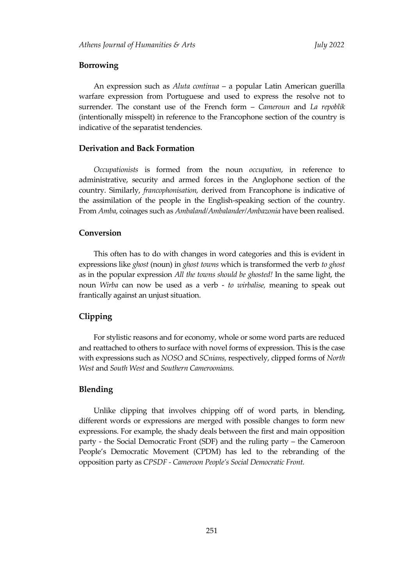# **Borrowing**

An expression such as *Aluta continua* – a popular Latin American guerilla warfare expression from Portuguese and used to express the resolve not to surrender. The constant use of the French form – *Cameroun* and *La repoblik* (intentionally misspelt) in reference to the Francophone section of the country is indicative of the separatist tendencies.

# **Derivation and Back Formation**

*Occupationists* is formed from the noun *occupation*, in reference to administrative, security and armed forces in the Anglophone section of the country. Similarly, *francophonisation,* derived from Francophone is indicative of the assimilation of the people in the English-speaking section of the country. From *Amba*, coinages such as *Ambaland/Ambalander/Ambazonia* have been realised.

### **Conversion**

This often has to do with changes in word categories and this is evident in expressions like *ghost* (noun) in *ghost towns* which is transformed the verb *to ghost* as in the popular expression *All the towns should be ghosted!* In the same light, the noun *Wirba* can now be used as a verb - *to wirbalise,* meaning to speak out frantically against an unjust situation.

# **Clipping**

For stylistic reasons and for economy, whole or some word parts are reduced and reattached to others to surface with novel forms of expression. This is the case with expressions such as *NOSO* and *SCnians,* respectively, clipped forms of *North West* and *South West* and *Southern Cameroonians.*

#### **Blending**

Unlike clipping that involves chipping off of word parts, in blending, different words or expressions are merged with possible changes to form new expressions. For example, the shady deals between the first and main opposition party - the Social Democratic Front (SDF) and the ruling party – the Cameroon People's Democratic Movement (CPDM) has led to the rebranding of the opposition party as *CPSDF - Cameroon People's Social Democratic Front.*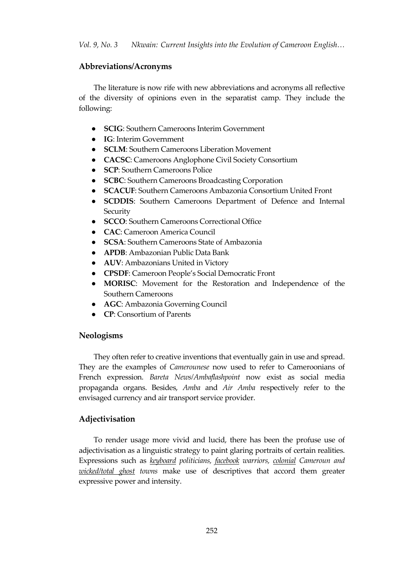# **Abbreviations/Acronyms**

The literature is now rife with new abbreviations and acronyms all reflective of the diversity of opinions even in the separatist camp. They include the following:

- **SCIG**: Southern Cameroons Interim Government
- **IG**: Interim Government
- **SCLM**: Southern Cameroons Liberation Movement
- **CACSC**: Cameroons Anglophone Civil Society Consortium
- **SCP**: Southern Cameroons Police
- **SCBC**: Southern Cameroons Broadcasting Corporation
- **SCACUF**: Southern Cameroons Ambazonia Consortium United Front
- **SCDDIS**: Southern Cameroons Department of Defence and Internal **Security**
- **SCCO**: Southern Cameroons Correctional Office
- **CAC**: Cameroon America Council
- **SCSA**: Southern Cameroons State of Ambazonia
- **APDB**: Ambazonian Public Data Bank
- **AUV**: Ambazonians United in Victory
- **CPSDF**: Cameroon People's Social Democratic Front
- **MORISC**: Movement for the Restoration and Independence of the Southern Cameroons
- **AGC**: Ambazonia Governing Council
- **CP**: Consortium of Parents

### **Neologisms**

They often refer to creative inventions that eventually gain in use and spread. They are the examples of *Camerounese* now used to refer to Cameroonians of French expression. *Bareta News/Ambaflashpoint* now exist as social media propaganda organs. Besides, *Amba* and *Air Amba* respectively refer to the envisaged currency and air transport service provider.

# **Adjectivisation**

To render usage more vivid and lucid, there has been the profuse use of adjectivisation as a linguistic strategy to paint glaring portraits of certain realities. Expressions such as *keyboard politicians, facebook warriors, colonial Cameroun and wicked/total ghost towns* make use of descriptives that accord them greater expressive power and intensity.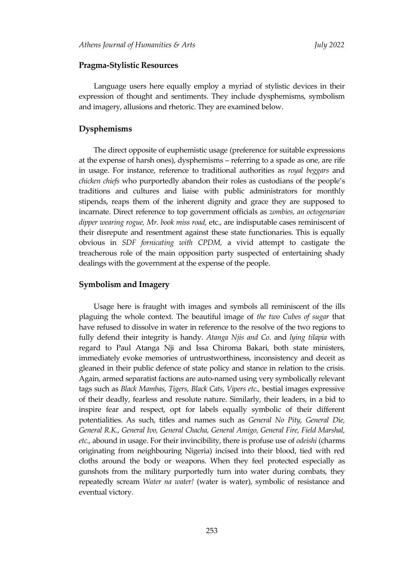# **Pragma-Stylistic Resources**

Language users here equally employ a myriad of stylistic devices in their expression of thought and sentiments. They include dysphemisms, symbolism and imagery, allusions and rhetoric. They are examined below.

#### **Dysphemisms**

The direct opposite of euphemistic usage (preference for suitable expressions at the expense of harsh ones), dysphemisms – referring to a spade as one, are rife in usage. For instance, reference to traditional authorities as *royal beggars* and *chicken chiefs* who purportedly abandon their roles as custodians of the people's traditions and cultures and liaise with public administrators for monthly stipends, reaps them of the inherent dignity and grace they are supposed to incarnate. Direct reference to top government officials as *zombies, an octogenarian dipper wearing rogue, Mr. book miss road,* etc., are indisputable cases reminiscent of their disrepute and resentment against these state functionaries. This is equally obvious in *SDF fornicating with CPDM,* a vivid attempt to castigate the treacherous role of the main opposition party suspected of entertaining shady dealings with the government at the expense of the people.

#### **Symbolism and Imagery**

Usage here is fraught with images and symbols all reminiscent of the ills plaguing the whole context. The beautiful image of *the two Cubes of sugar* that have refused to dissolve in water in reference to the resolve of the two regions to fully defend their integrity is handy. *Atanga Njis and Co*. and *lying tilapia* with regard to Paul Atanga Nji and Issa Chiroma Bakari, both state ministers, immediately evoke memories of untrustworthiness, inconsistency and deceit as gleaned in their public defence of state policy and stance in relation to the crisis. Again, armed separatist factions are auto-named using very symbolically relevant tags such as *Black Mambas, Tigers, Black Cats, Vipers etc.,* bestial images expressive of their deadly, fearless and resolute nature. Similarly, their leaders, in a bid to inspire fear and respect, opt for labels equally symbolic of their different potentialities. As such, titles and names such as *General No Pity, General Die, General R.K., General Ivo, General Chacha, General Amigo, General Fire, Field Marshal, etc.*, abound in usage. For their invincibility, there is profuse use of *odeishi* (charms originating from neighbouring Nigeria) incised into their blood, tied with red cloths around the body or weapons. When they feel protected especially as gunshots from the military purportedly turn into water during combats, they repeatedly scream *Water na water!* (water is water), symbolic of resistance and eventual victory.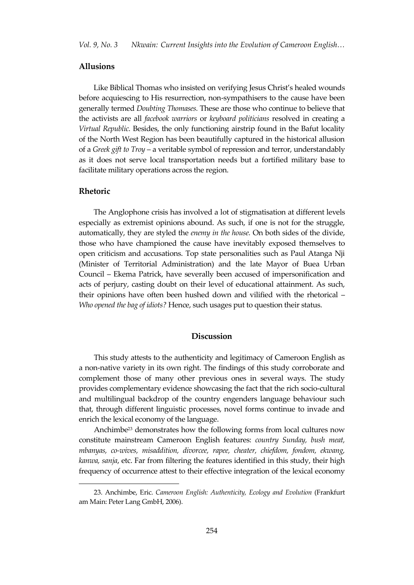### **Allusions**

Like Biblical Thomas who insisted on verifying Jesus Christ's healed wounds before acquiescing to His resurrection, non-sympathisers to the cause have been generally termed *Doubting Thomases.* These are those who continue to believe that the activists are all *facebook warriors* or *keyboard politicians* resolved in creating a *Virtual Republic.* Besides, the only functioning airstrip found in the Bafut locality of the North West Region has been beautifully captured in the historical allusion of a *Greek gift to Troy* – a veritable symbol of repression and terror, understandably as it does not serve local transportation needs but a fortified military base to facilitate military operations across the region.

#### **Rhetoric**

 $\overline{a}$ 

The Anglophone crisis has involved a lot of stigmatisation at different levels especially as extremist opinions abound. As such, if one is not for the struggle, automatically, they are styled the *enemy in the house.* On both sides of the divide, those who have championed the cause have inevitably exposed themselves to open criticism and accusations. Top state personalities such as Paul Atanga Nji (Minister of Territorial Administration) and the late Mayor of Buea Urban Council – Ekema Patrick, have severally been accused of impersonification and acts of perjury, casting doubt on their level of educational attainment. As such, their opinions have often been hushed down and vilified with the rhetorical – *Who opened the bag of idiots?* Hence, such usages put to question their status.

# **Discussion**

This study attests to the authenticity and legitimacy of Cameroon English as a non-native variety in its own right. The findings of this study corroborate and complement those of many other previous ones in several ways. The study provides complementary evidence showcasing the fact that the rich socio-cultural and multilingual backdrop of the country engenders language behaviour such that, through different linguistic processes, novel forms continue to invade and enrich the lexical economy of the language.

Anchimbe<sup>23</sup> demonstrates how the following forms from local cultures now constitute mainstream Cameroon English features: *country Sunday, bush meat, mbanyas, co-wives, misaddition, divorcee, rapee, cheater, chiefdom, fondom, ekwang, kanwa, sanja*, etc. Far from filtering the features identified in this study, their high frequency of occurrence attest to their effective integration of the lexical economy

<sup>23.</sup> Anchimbe, Eric. *Cameroon English: Authenticity, Ecology and Evolution* (Frankfurt am Main: Peter Lang GmbH, 2006).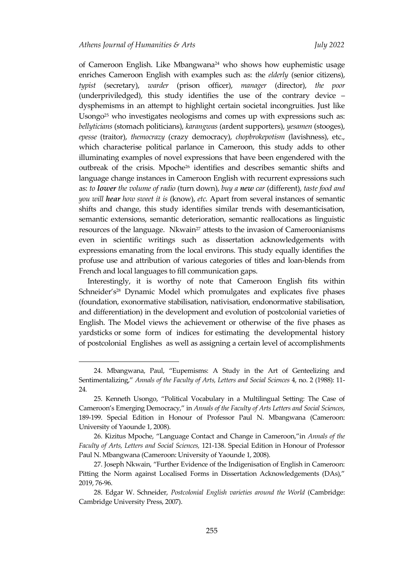$\overline{a}$ 

of Cameroon English. Like Mbangwana<sup>24</sup> who shows how euphemistic usage enriches Cameroon English with examples such as: the *elderly* (senior citizens), *typist* (secretary), *warder* (prison officer), *manager* (director), *the poor* (underpriviledged), this study identifies the use of the contrary device – dysphemisms in an attempt to highlight certain societal incongruities. Just like Usong $2^{5}$  who investigates neologisms and comes up with expressions such as: *bellyticians* (stomach politicians), *karangwas* (ardent supporters), *yesamen* (stooges), *epesse* (traitor), *themocrazy* (crazy democracy), *chopbrokepotism* (lavishness), etc., which characterise political parlance in Cameroon, this study adds to other illuminating examples of novel expressions that have been engendered with the outbreak of the crisis. Mpoche<sup>26</sup> identifies and describes semantic shifts and language change instances in Cameroon English with recurrent expressions such as: *to lower the volume of radio* (turn down), *buy a new car* (different), *taste food and you will hear how sweet it is* (know), *etc.* Apart from several instances of semantic shifts and change, this study identifies similar trends with desemanticisation, semantic extensions, semantic deterioration, semantic reallocations as linguistic resources of the language. Nkwain<sup>27</sup> attests to the invasion of Cameroonianisms even in scientific writings such as dissertation acknowledgements with expressions emanating from the local environs. This study equally identifies the profuse use and attribution of various categories of titles and loan-blends from French and local languages to fill communication gaps.

 Interestingly, it is worthy of note that Cameroon English fits within Schneider's<sup>28</sup> Dynamic Model which promulgates and explicates five phases (foundation, exonormative stabilisation, nativisation, endonormative stabilisation, and differentiation) in the development and evolution of postcolonial varieties of English. The Model views the achievement or otherwise of the five phases as yardsticks or some form of indices for estimating the developmental history of postcolonial Englishes as well as assigning a certain level of accomplishments

<sup>24.</sup> Mbangwana, Paul, 'Eupemisms: A Study in the Art of Genteelizing and Sentimentalizing,' *Annals of the Faculty of Arts, Letters and Social Sciences* 4, no. 2 (1988): 11- 24*.*

<sup>25</sup>. Kenneth Usongo, 'Political Vocabulary in a Multilingual Setting: The Case of Cameroon's Emerging Democracy,' in *Annals of the Faculty of Arts Letters and Social Sciences*, 189-199. Special Edition in Honour of Professor Paul N. Mbangwana (Cameroon: University of Yaounde 1, 2008).

<sup>26</sup>. Kizitus Mpoche, 'Language Contact and Change in Cameroon,'in *Annals of the Faculty of Arts, Letters and Social Sciences,* 121-138. Special Edition in Honour of Professor Paul N. Mbangwana (Cameroon: University of Yaounde 1, 2008).

<sup>27</sup>. Joseph Nkwain, 'Further Evidence of the Indigenisation of English in Cameroon: Pitting the Norm against Localised Forms in Dissertation Acknowledgements (DAs),' 2019, 76-96.

<sup>28.</sup> Edgar W. Schneider, *Postcolonial English varieties around the World* (Cambridge: Cambridge University Press, 2007).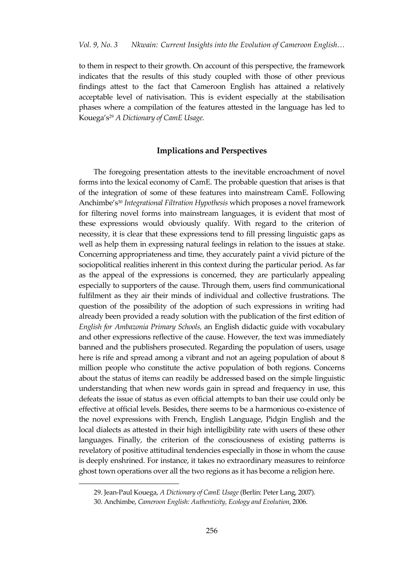to them in respect to their growth. On account of this perspective, the framework indicates that the results of this study coupled with those of other previous findings attest to the fact that Cameroon English has attained a relatively acceptable level of nativisation. This is evident especially at the stabilisation phases where a compilation of the features attested in the language has led to Kouega's<sup>29</sup> *A Dictionary of CamE Usage.*

# **Implications and Perspectives**

The foregoing presentation attests to the inevitable encroachment of novel forms into the lexical economy of CamE. The probable question that arises is that of the integration of some of these features into mainstream CamE. Following Anchimbe's<sup>30</sup> *Integrational Filtration Hypothesis* which proposes a novel framework for filtering novel forms into mainstream languages, it is evident that most of these expressions would obviously qualify. With regard to the criterion of necessity, it is clear that these expressions tend to fill pressing linguistic gaps as well as help them in expressing natural feelings in relation to the issues at stake. Concerning appropriateness and time, they accurately paint a vivid picture of the sociopolitical realities inherent in this context during the particular period. As far as the appeal of the expressions is concerned, they are particularly appealing especially to supporters of the cause. Through them, users find communicational fulfilment as they air their minds of individual and collective frustrations. The question of the possibility of the adoption of such expressions in writing had already been provided a ready solution with the publication of the first edition of *English for Ambazonia Primary Schools,* an English didactic guide with vocabulary and other expressions reflective of the cause. However, the text was immediately banned and the publishers prosecuted. Regarding the population of users, usage here is rife and spread among a vibrant and not an ageing population of about 8 million people who constitute the active population of both regions. Concerns about the status of items can readily be addressed based on the simple linguistic understanding that when new words gain in spread and frequency in use, this defeats the issue of status as even official attempts to ban their use could only be effective at official levels. Besides, there seems to be a harmonious co-existence of the novel expressions with French, English Language, Pidgin English and the local dialects as attested in their high intelligibility rate with users of these other languages. Finally, the criterion of the consciousness of existing patterns is revelatory of positive attitudinal tendencies especially in those in whom the cause is deeply enshrined. For instance, it takes no extraordinary measures to reinforce ghost town operations over all the two regions as it has become a religion here.

 $\overline{a}$ 

<sup>29.</sup> Jean-Paul Kouega, *A Dictionary of CamE Usage* (Berlin: Peter Lang, 2007).

<sup>30.</sup> Anchimbe, *Cameroon English: Authenticity, Ecology and Evolution*, 2006.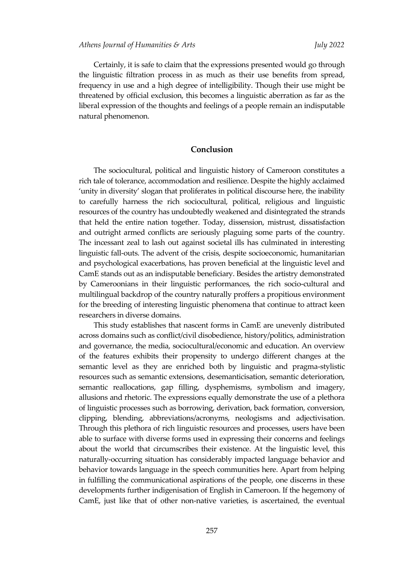Certainly, it is safe to claim that the expressions presented would go through the linguistic filtration process in as much as their use benefits from spread, frequency in use and a high degree of intelligibility. Though their use might be threatened by official exclusion, this becomes a linguistic aberration as far as the liberal expression of the thoughts and feelings of a people remain an indisputable natural phenomenon.

# **Conclusion**

The sociocultural, political and linguistic history of Cameroon constitutes a rich tale of tolerance, accommodation and resilience. Despite the highly acclaimed 'unity in diversity' slogan that proliferates in political discourse here, the inability to carefully harness the rich sociocultural, political, religious and linguistic resources of the country has undoubtedly weakened and disintegrated the strands that held the entire nation together. Today, dissension, mistrust, dissatisfaction and outright armed conflicts are seriously plaguing some parts of the country. The incessant zeal to lash out against societal ills has culminated in interesting linguistic fall-outs. The advent of the crisis, despite socioeconomic, humanitarian and psychological exacerbations, has proven beneficial at the linguistic level and CamE stands out as an indisputable beneficiary. Besides the artistry demonstrated by Cameroonians in their linguistic performances, the rich socio-cultural and multilingual backdrop of the country naturally proffers a propitious environment for the breeding of interesting linguistic phenomena that continue to attract keen researchers in diverse domains.

This study establishes that nascent forms in CamE are unevenly distributed across domains such as conflict/civil disobedience, history/politics, administration and governance, the media, sociocultural/economic and education. An overview of the features exhibits their propensity to undergo different changes at the semantic level as they are enriched both by linguistic and pragma-stylistic resources such as semantic extensions, desemanticisation, semantic deterioration, semantic reallocations, gap filling, dysphemisms, symbolism and imagery, allusions and rhetoric. The expressions equally demonstrate the use of a plethora of linguistic processes such as borrowing, derivation, back formation, conversion, clipping, blending, abbreviations/acronyms, neologisms and adjectivisation. Through this plethora of rich linguistic resources and processes, users have been able to surface with diverse forms used in expressing their concerns and feelings about the world that circumscribes their existence. At the linguistic level, this naturally-occurring situation has considerably impacted language behavior and behavior towards language in the speech communities here. Apart from helping in fulfilling the communicational aspirations of the people, one discerns in these developments further indigenisation of English in Cameroon. If the hegemony of CamE, just like that of other non-native varieties, is ascertained, the eventual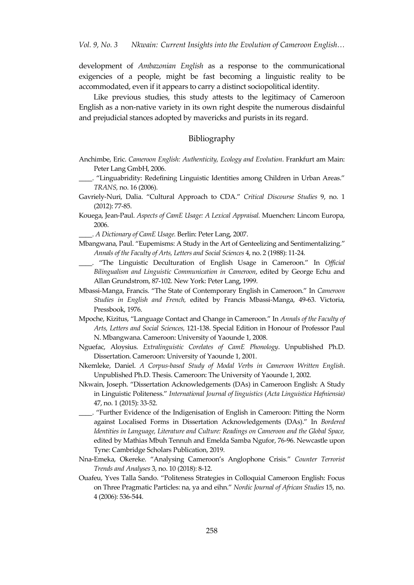development of *Ambazonian English* as a response to the communicational exigencies of a people, might be fast becoming a linguistic reality to be accommodated, even if it appears to carry a distinct sociopolitical identity.

Like previous studies, this study attests to the legitimacy of Cameroon English as a non-native variety in its own right despite the numerous disdainful and prejudicial stances adopted by mavericks and purists in its regard.

#### Bibliography

- Anchimbe, Eric. *Cameroon English: Authenticity, Ecology and Evolution*. Frankfurt am Main: Peter Lang GmbH, 2006.
- "Linguabridity: Redefining Linguistic Identities among Children in Urban Areas." *TRANS,* no. 16 (2006).
- Gavriely-Nuri, Dalia. 'Cultural Approach to CDA.' *Critical Discourse Studies* 9, no. 1 (2012): 77-85.
- Kouega, Jean-Paul. *Aspects of CamE Usage: A Lexical Appraisal.* Muenchen: Lincom Europa, 2006.
- \_\_\_\_. *A Dictionary of CamE Usage.* Berlin: Peter Lang, 2007.
- Mbangwana, Paul. 'Eupemisms: A Study in the Art of Genteelizing and Sentimentalizing.' *Annals of the Faculty of Arts, Letters and Social Sciences* 4, no. 2 (1988): 11-24.
- \_\_\_\_. 'The Linguistic Deculturation of English Usage in Cameroon.' In *Official Bilingualism and Linguistic Communication in Cameroon*, edited by George Echu and Allan Grundstrom, 87-102. New York: Peter Lang, 1999.
- Mbassi-Manga, Francis. 'The State of Contemporary English in Cameroon.' In *Cameroon Studies in English and French,* edited by Francis Mbassi-Manga, 49-63. Victoria, Pressbook, 1976.
- Mpoche, Kizitus, 'Language Contact and Change in Cameroon.' In *Annals of the Faculty of Arts, Letters and Social Sciences,* 121-138. Special Edition in Honour of Professor Paul N. Mbangwana. Cameroon: University of Yaounde 1, 2008.
- Nguefac, Aloysius. *Extralinguistic Corelates of CamE Phonology*. Unpublished Ph.D. Dissertation. Cameroon: University of Yaounde 1, 2001.
- Nkemleke, Daniel. *A Corpus-based Study of Modal Verbs in Cameroon Written English*. Unpublished Ph.D. Thesis. Cameroon: The University of Yaounde 1, 2002.
- Nkwain, Joseph. 'Dissertation Acknowledgements (DAs) in Cameroon English: A Study in Linguistic Politeness.' *International Journal of linguistics* (*Acta Linguistica Hafniensia)*  47, no. 1 (2015): 33-52.
- \_\_\_\_. 'Further Evidence of the Indigenisation of English in Cameroon: Pitting the Norm against Localised Forms in Dissertation Acknowledgements (DAs).' In *Bordered Identities in Language, Literature and Culture: Readings on Cameroon and the Global Space,*  edited by Mathias Mbuh Tennuh and Emelda Samba Ngufor, 76-96. Newcastle upon Tyne: Cambridge Scholars Publication, 2019.
- Nna-Emeka, Okereke. 'Analysing Cameroon's Anglophone Crisis.' *Counter Terrorist Trends and Analyses* 3, no. 10 (2018): 8-12.
- Ouafeu, Yves Talla Sando. 'Politeness Strategies in Colloquial Cameroon English: Focus on Three Pragmatic Particles: na, ya and eihn.' *Nordic Journal of African Studies* 15, no. 4 (2006): 536-544.